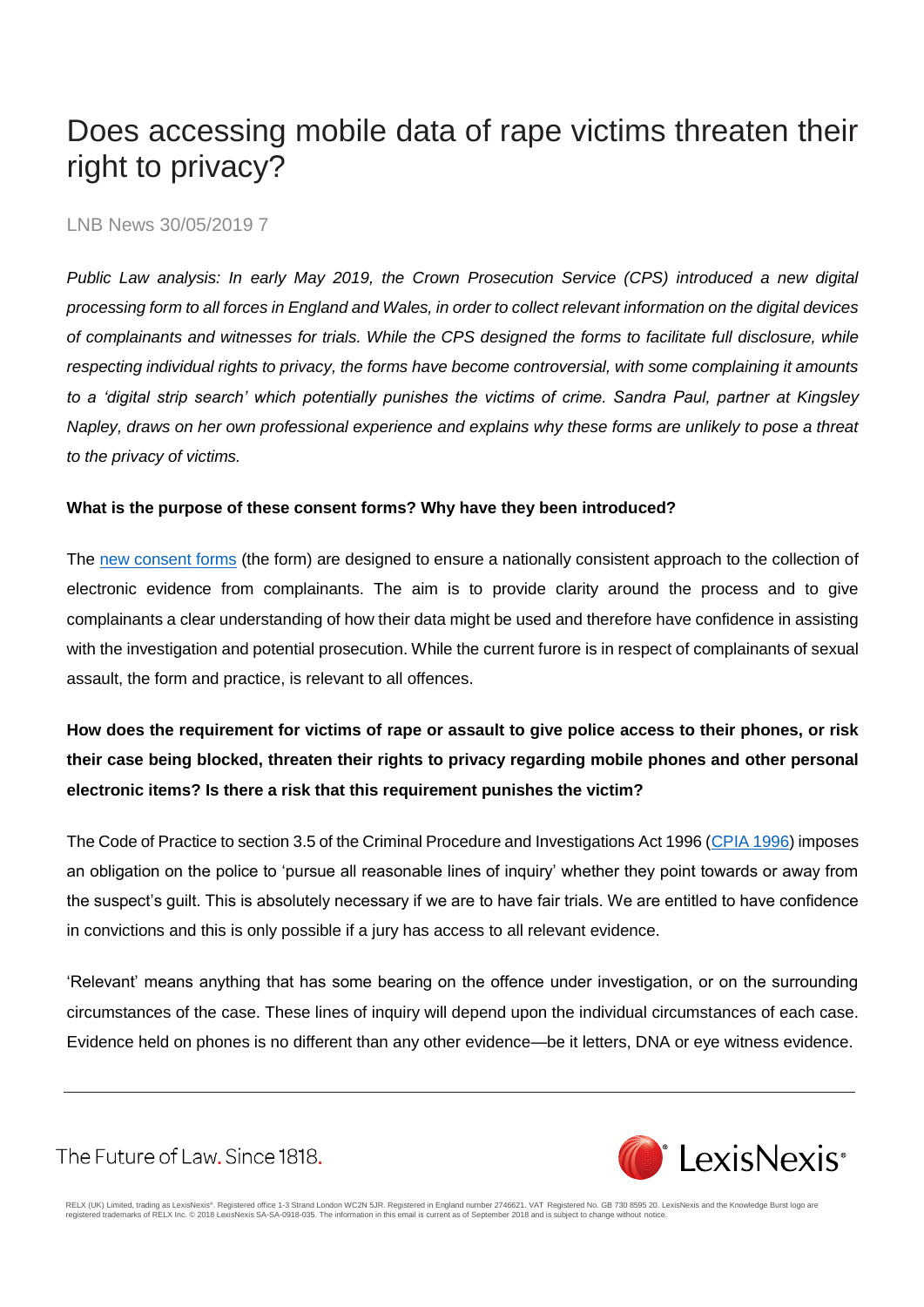# Does accessing mobile data of rape victims threaten their right to privacy?

#### LNB News 30/05/2019 7

*Public Law analysis: In early May 2019, the Crown Prosecution Service (CPS) introduced a new digital processing form to all forces in England and Wales, in order to collect relevant information on the digital devices of complainants and witnesses for trials. While the CPS designed the forms to facilitate full disclosure, while respecting individual rights to privacy, the forms have become controversial, with some complaining it amounts to a 'digital strip search' which potentially punishes the victims of crime. Sandra Paul, partner at Kingsley Napley, draws on her own professional experience and explains why these forms are unlikely to pose a threat to the privacy of victims.* 

#### **What is the purpose of these consent forms? Why have they been introduced?**

The [new consent forms](http://news.npcc.police.uk/releases/progress-update-in-meeting-the-disclosure-challenge) (the form) are designed to ensure a nationally consistent approach to the collection of electronic evidence from complainants. The aim is to provide clarity around the process and to give complainants a clear understanding of how their data might be used and therefore have confidence in assisting with the investigation and potential prosecution. While the current furore is in respect of complainants of sexual assault, the form and practice, is relevant to all offences.

# **How does the requirement for victims of rape or assault to give police access to their phones, or risk their case being blocked, threaten their rights to privacy regarding mobile phones and other personal electronic items? Is there a risk that this requirement punishes the victim?**

The Code of Practice to section 3.5 of the Criminal Procedure and Investigations Act 1996 [\(CPIA 1996\)](https://www.lexisnexis.com/uk/legal/search/enhRunRemoteLink.do?linkInfo=F%23GB%23UK_ACTS%23num%251996_25a_Title%25&A=0.7914044738820353&backKey=20_T28780147070&service=citation&ersKey=23_T28780147037&langcountry=GB) imposes an obligation on the police to 'pursue all reasonable lines of inquiry' whether they point towards or away from the suspect's guilt. This is absolutely necessary if we are to have fair trials. We are entitled to have confidence in convictions and this is only possible if a jury has access to all relevant evidence.

'Relevant' means anything that has some bearing on the offence under investigation, or on the surrounding circumstances of the case. These lines of inquiry will depend upon the individual circumstances of each case. Evidence held on phones is no different than any other evidence—be it letters, DNA or eye witness evidence.

**CELEXISNEXIS**<sup>®</sup>

The Future of Law. Since 1818.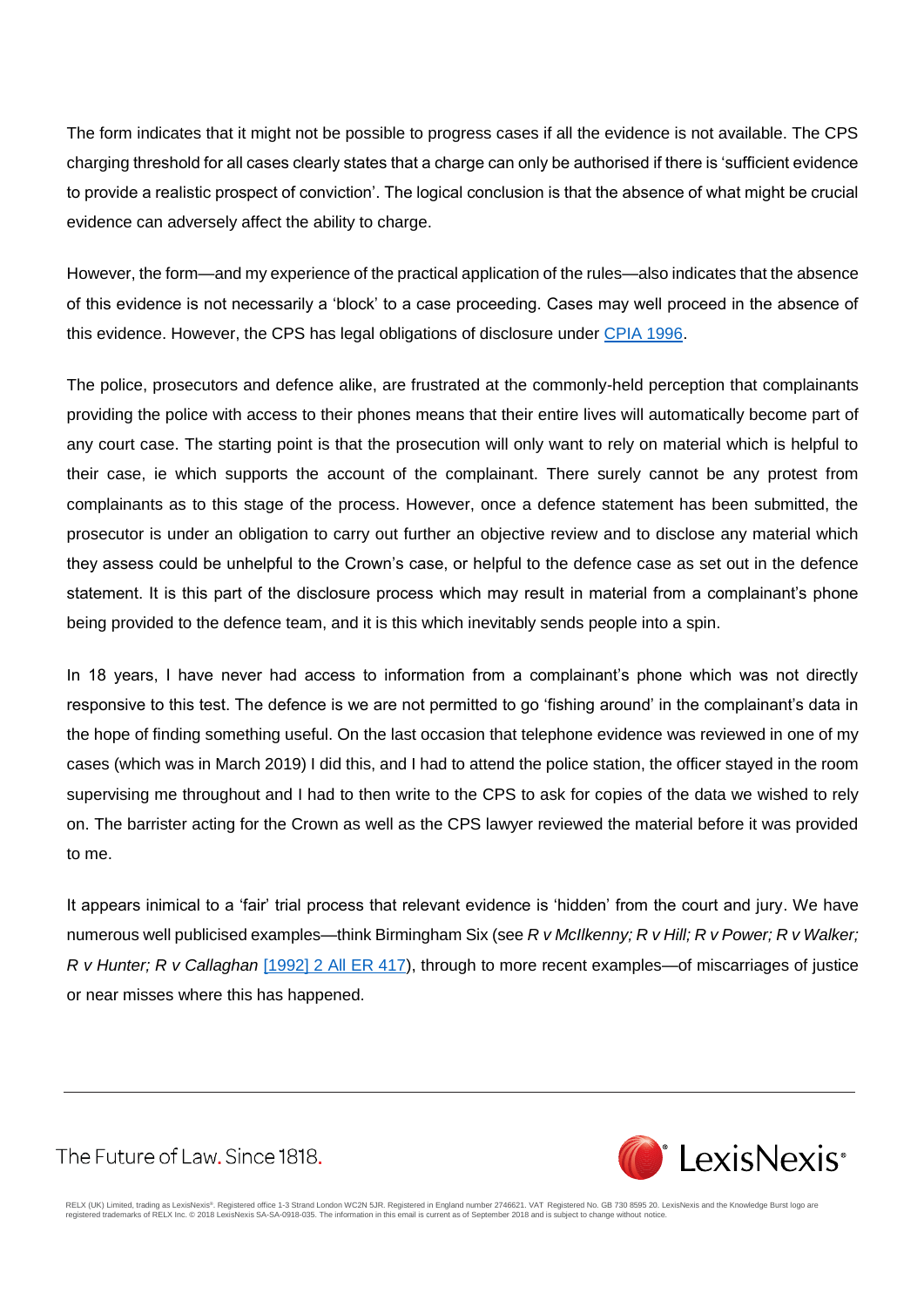The form indicates that it might not be possible to progress cases if all the evidence is not available. The CPS charging threshold for all cases clearly states that a charge can only be authorised if there is 'sufficient evidence to provide a realistic prospect of conviction'. The logical conclusion is that the absence of what might be crucial evidence can adversely affect the ability to charge.

However, the form—and my experience of the practical application of the rules—also indicates that the absence of this evidence is not necessarily a 'block' to a case proceeding. Cases may well proceed in the absence of this evidence. However, the CPS has legal obligations of disclosure under [CPIA 1996.](https://www.lexisnexis.com/uk/legal/search/enhRunRemoteLink.do?linkInfo=F%23GB%23UK_ACTS%23num%251996_25a_Title%25&A=0.035336493037388395&backKey=20_T28780147070&service=citation&ersKey=23_T28780147037&langcountry=GB)

The police, prosecutors and defence alike, are frustrated at the commonly-held perception that complainants providing the police with access to their phones means that their entire lives will automatically become part of any court case. The starting point is that the prosecution will only want to rely on material which is helpful to their case, ie which supports the account of the complainant. There surely cannot be any protest from complainants as to this stage of the process. However, once a defence statement has been submitted, the prosecutor is under an obligation to carry out further an objective review and to disclose any material which they assess could be unhelpful to the Crown's case, or helpful to the defence case as set out in the defence statement. It is this part of the disclosure process which may result in material from a complainant's phone being provided to the defence team, and it is this which inevitably sends people into a spin.

In 18 years, I have never had access to information from a complainant's phone which was not directly responsive to this test. The defence is we are not permitted to go 'fishing around' in the complainant's data in the hope of finding something useful. On the last occasion that telephone evidence was reviewed in one of my cases (which was in March 2019) I did this, and I had to attend the police station, the officer stayed in the room supervising me throughout and I had to then write to the CPS to ask for copies of the data we wished to rely on. The barrister acting for the Crown as well as the CPS lawyer reviewed the material before it was provided to me.

It appears inimical to a 'fair' trial process that relevant evidence is 'hidden' from the court and jury. We have numerous well publicised examples—think Birmingham Six (see *R v McIlkenny; R v Hill; R v Power; R v Walker; R v Hunter; R v Callaghan* [\[1992\] 2 All ER 417\)](https://www.lexisnexis.com/uk/legal/search/enhRunRemoteLink.do?linkInfo=F%23GB%23ALLER%23sel1%251992%25vol%252%25year%251992%25page%25417%25sel2%252%25&A=0.2601399331162306&backKey=20_T28780147070&service=citation&ersKey=23_T28780147037&langcountry=GB), through to more recent examples—of miscarriages of justice or near misses where this has happened.

The Future of Law. Since 1818.

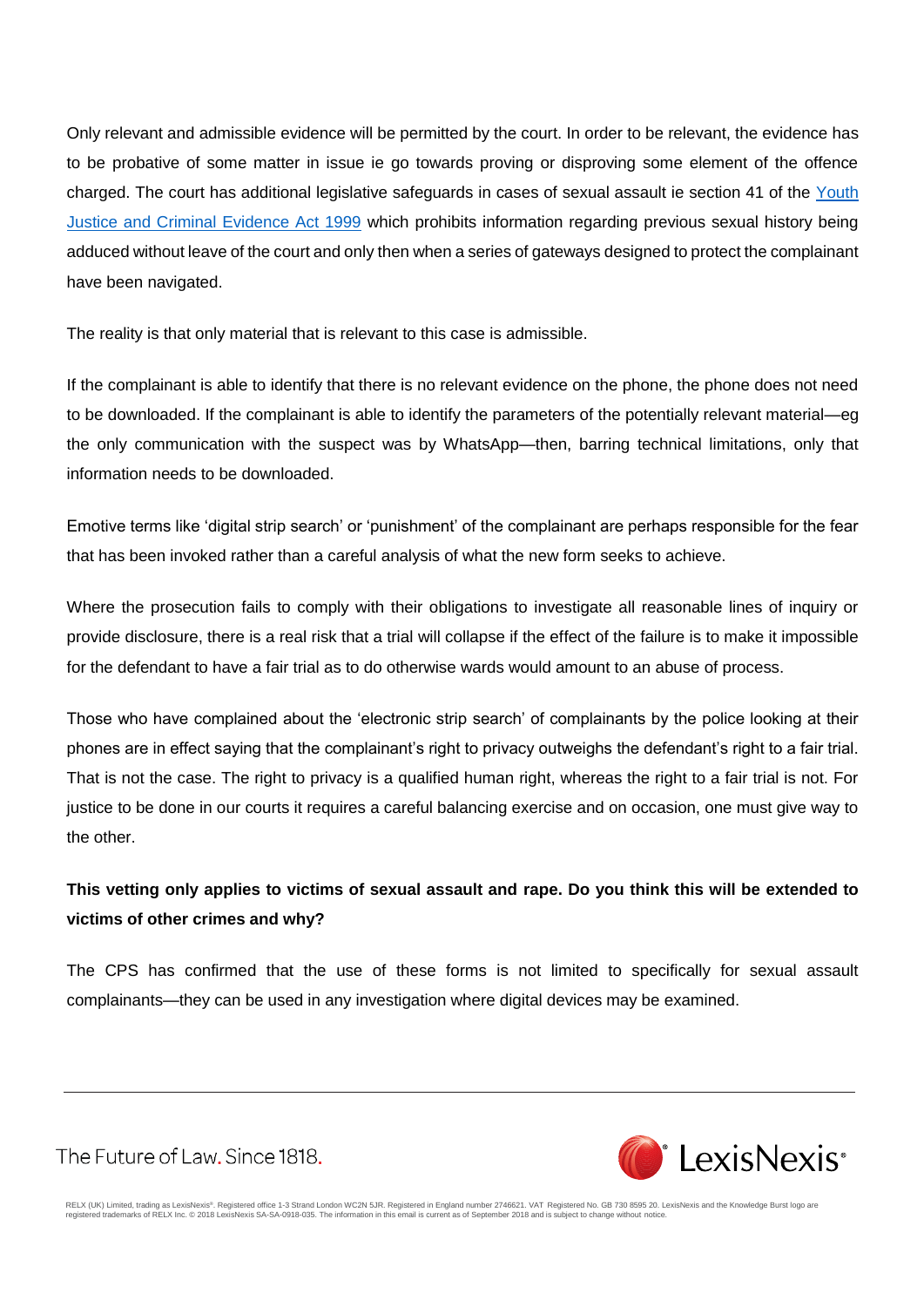Only relevant and admissible evidence will be permitted by the court. In order to be relevant, the evidence has to be probative of some matter in issue ie go towards proving or disproving some element of the offence charged. The court has additional legislative safeguards in cases of sexual assault ie section 41 of the [Youth](https://www.lexisnexis.com/uk/legal/search/enhRunRemoteLink.do?linkInfo=F%23GB%23UK_ACTS%23num%251999_23a_Title%25&A=0.4446205435739625&backKey=20_T28780147070&service=citation&ersKey=23_T28780147037&langcountry=GB)  [Justice and Criminal Evidence Act 1999](https://www.lexisnexis.com/uk/legal/search/enhRunRemoteLink.do?linkInfo=F%23GB%23UK_ACTS%23num%251999_23a_Title%25&A=0.4446205435739625&backKey=20_T28780147070&service=citation&ersKey=23_T28780147037&langcountry=GB) which prohibits information regarding previous sexual history being adduced without leave of the court and only then when a series of gateways designed to protect the complainant have been navigated.

The reality is that only material that is relevant to this case is admissible.

If the complainant is able to identify that there is no relevant evidence on the phone, the phone does not need to be downloaded. If the complainant is able to identify the parameters of the potentially relevant material—eg the only communication with the suspect was by WhatsApp—then, barring technical limitations, only that information needs to be downloaded.

Emotive terms like 'digital strip search' or 'punishment' of the complainant are perhaps responsible for the fear that has been invoked rather than a careful analysis of what the new form seeks to achieve.

Where the prosecution fails to comply with their obligations to investigate all reasonable lines of inquiry or provide disclosure, there is a real risk that a trial will collapse if the effect of the failure is to make it impossible for the defendant to have a fair trial as to do otherwise wards would amount to an abuse of process.

Those who have complained about the 'electronic strip search' of complainants by the police looking at their phones are in effect saying that the complainant's right to privacy outweighs the defendant's right to a fair trial. That is not the case. The right to privacy is a qualified human right, whereas the right to a fair trial is not. For justice to be done in our courts it requires a careful balancing exercise and on occasion, one must give way to the other.

## **This vetting only applies to victims of sexual assault and rape. Do you think this will be extended to victims of other crimes and why?**

The CPS has confirmed that the use of these forms is not limited to specifically for sexual assault complainants—they can be used in any investigation where digital devices may be examined.

The Future of Law. Since 1818.

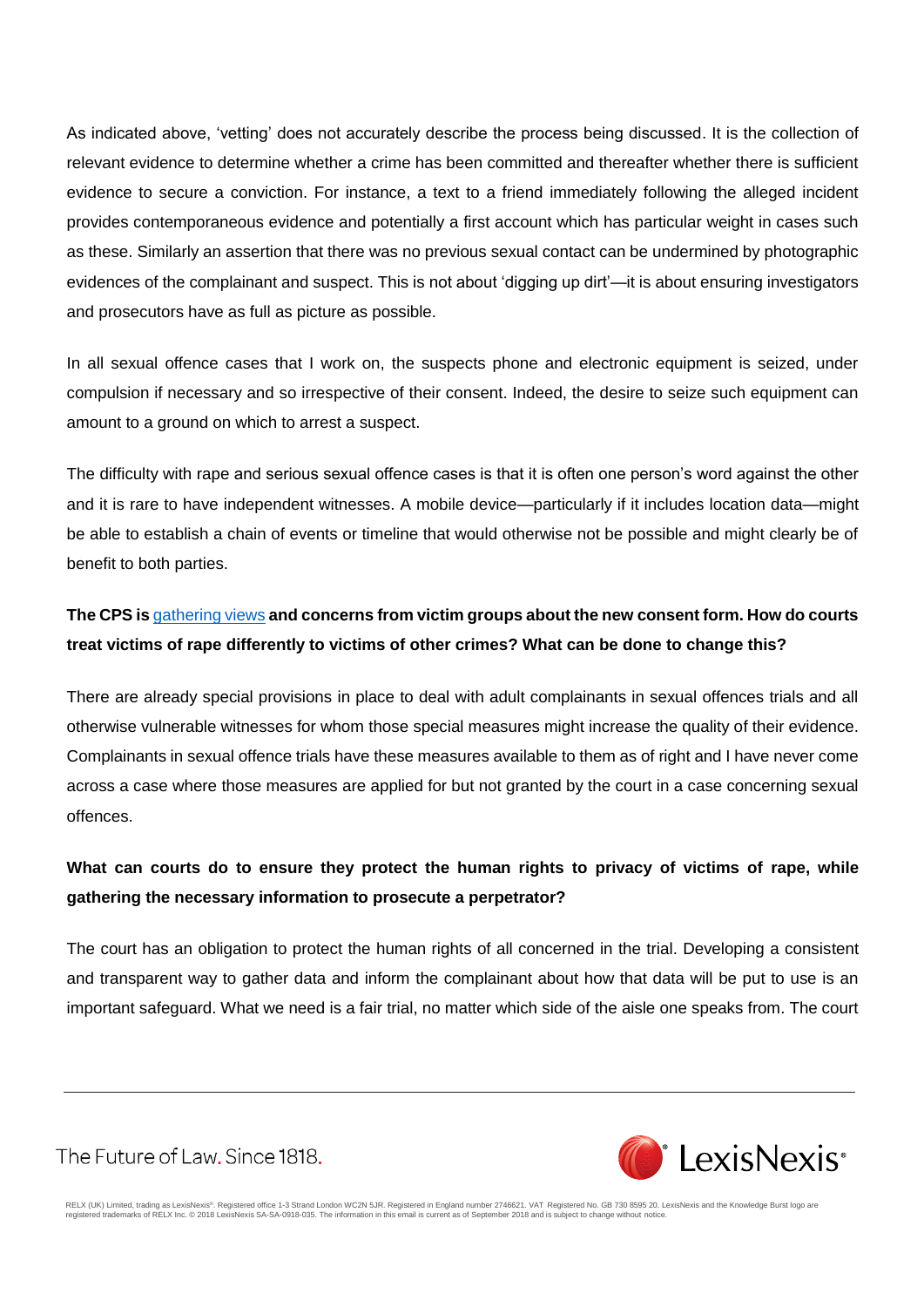As indicated above, 'vetting' does not accurately describe the process being discussed. It is the collection of relevant evidence to determine whether a crime has been committed and thereafter whether there is sufficient evidence to secure a conviction. For instance, a text to a friend immediately following the alleged incident provides contemporaneous evidence and potentially a first account which has particular weight in cases such as these. Similarly an assertion that there was no previous sexual contact can be undermined by photographic evidences of the complainant and suspect. This is not about 'digging up dirt'—it is about ensuring investigators and prosecutors have as full as picture as possible.

In all sexual offence cases that I work on, the suspects phone and electronic equipment is seized, under compulsion if necessary and so irrespective of their consent. Indeed, the desire to seize such equipment can amount to a ground on which to arrest a suspect.

The difficulty with rape and serious sexual offence cases is that it is often one person's word against the other and it is rare to have independent witnesses. A mobile device—particularly if it includes location data—might be able to establish a chain of events or timeline that would otherwise not be possible and might clearly be of benefit to both parties.

### **The CPS is** [gathering views](http://www.cps.gov.uk/cps/news/police-and-prosecutors-invite-victim-groups-discuss-concerns-about-new-consent-form) **and concerns from victim groups about the new consent form. How do courts treat victims of rape differently to victims of other crimes? What can be done to change this?**

There are already special provisions in place to deal with adult complainants in sexual offences trials and all otherwise vulnerable witnesses for whom those special measures might increase the quality of their evidence. Complainants in sexual offence trials have these measures available to them as of right and I have never come across a case where those measures are applied for but not granted by the court in a case concerning sexual offences.

### **What can courts do to ensure they protect the human rights to privacy of victims of rape, while gathering the necessary information to prosecute a perpetrator?**

The court has an obligation to protect the human rights of all concerned in the trial. Developing a consistent and transparent way to gather data and inform the complainant about how that data will be put to use is an important safeguard. What we need is a fair trial, no matter which side of the aisle one speaks from. The court

The Future of Law, Since 1818.